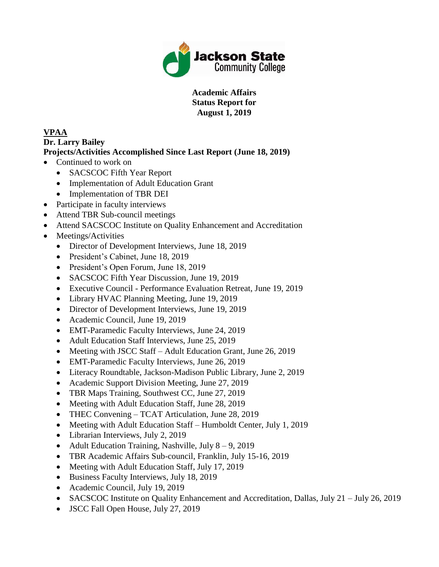

**Academic Affairs Status Report for August 1, 2019**

# **VPAA**

### **Dr. Larry Bailey Projects/Activities Accomplished Since Last Report (June 18, 2019)**

- Continued to work on
	- SACSCOC Fifth Year Report
	- Implementation of Adult Education Grant
	- Implementation of TBR DEI
- Participate in faculty interviews
- Attend TBR Sub-council meetings
- Attend SACSCOC Institute on Quality Enhancement and Accreditation
- Meetings/Activities
	- Director of Development Interviews, June 18, 2019
	- President's Cabinet, June 18, 2019
	- President's Open Forum, June 18, 2019
	- SACSCOC Fifth Year Discussion, June 19, 2019
	- Executive Council Performance Evaluation Retreat, June 19, 2019
	- Library HVAC Planning Meeting, June 19, 2019
	- Director of Development Interviews, June 19, 2019
	- Academic Council, June 19, 2019
	- EMT-Paramedic Faculty Interviews, June 24, 2019
	- Adult Education Staff Interviews, June 25, 2019
	- Meeting with JSCC Staff Adult Education Grant, June 26, 2019
	- EMT-Paramedic Faculty Interviews, June 26, 2019
	- Literacy Roundtable, Jackson-Madison Public Library, June 2, 2019
	- Academic Support Division Meeting, June 27, 2019
	- TBR Maps Training, Southwest CC, June 27, 2019
	- Meeting with Adult Education Staff, June 28, 2019
	- THEC Convening TCAT Articulation, June 28, 2019
	- Meeting with Adult Education Staff Humboldt Center, July 1, 2019
	- Librarian Interviews, July 2, 2019
	- Adult Education Training, Nashville, July  $8 9$ , 2019
	- TBR Academic Affairs Sub-council, Franklin, July 15-16, 2019
	- Meeting with Adult Education Staff, July 17, 2019
	- Business Faculty Interviews, July 18, 2019
	- Academic Council, July 19, 2019
	- SACSCOC Institute on Quality Enhancement and Accreditation, Dallas, July 21 July 26, 2019
	- JSCC Fall Open House, July 27, 2019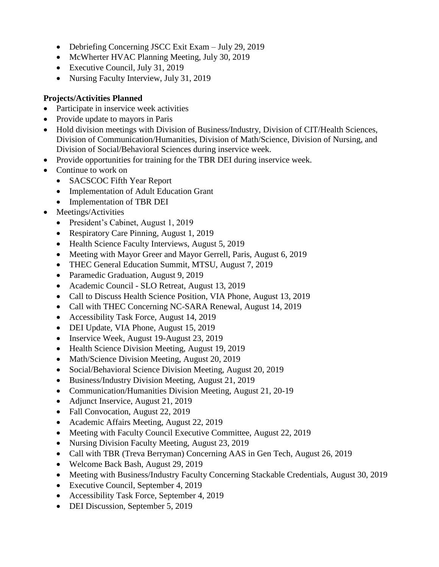- Debriefing Concerning JSCC Exit Exam July 29, 2019
- McWherter HVAC Planning Meeting, July 30, 2019
- Executive Council, July 31, 2019
- Nursing Faculty Interview, July 31, 2019

- Participate in inservice week activities
- Provide update to mayors in Paris
- Hold division meetings with Division of Business/Industry, Division of CIT/Health Sciences, Division of Communication/Humanities, Division of Math/Science, Division of Nursing, and Division of Social/Behavioral Sciences during inservice week.
- Provide opportunities for training for the TBR DEI during inservice week.
- Continue to work on
	- SACSCOC Fifth Year Report
	- Implementation of Adult Education Grant
	- Implementation of TBR DEI
- Meetings/Activities
	- President's Cabinet, August 1, 2019
	- Respiratory Care Pinning, August 1, 2019
	- Health Science Faculty Interviews, August 5, 2019
	- Meeting with Mayor Greer and Mayor Gerrell, Paris, August 6, 2019
	- THEC General Education Summit, MTSU, August 7, 2019
	- Paramedic Graduation, August 9, 2019
	- Academic Council SLO Retreat, August 13, 2019
	- Call to Discuss Health Science Position, VIA Phone, August 13, 2019
	- Call with THEC Concerning NC-SARA Renewal, August 14, 2019
	- Accessibility Task Force, August 14, 2019
	- DEI Update, VIA Phone, August 15, 2019
	- Inservice Week, August 19-August 23, 2019
	- Health Science Division Meeting, August 19, 2019
	- Math/Science Division Meeting, August 20, 2019
	- Social/Behavioral Science Division Meeting, August 20, 2019
	- Business/Industry Division Meeting, August 21, 2019
	- Communication/Humanities Division Meeting, August 21, 20-19
	- Adjunct Inservice, August 21, 2019
	- Fall Convocation, August 22, 2019
	- Academic Affairs Meeting, August 22, 2019
	- Meeting with Faculty Council Executive Committee, August 22, 2019
	- Nursing Division Faculty Meeting, August 23, 2019
	- Call with TBR (Treva Berryman) Concerning AAS in Gen Tech, August 26, 2019
	- Welcome Back Bash, August 29, 2019
	- Meeting with Business/Industry Faculty Concerning Stackable Credentials, August 30, 2019
	- Executive Council, September 4, 2019
	- Accessibility Task Force, September 4, 2019
	- DEI Discussion, September 5, 2019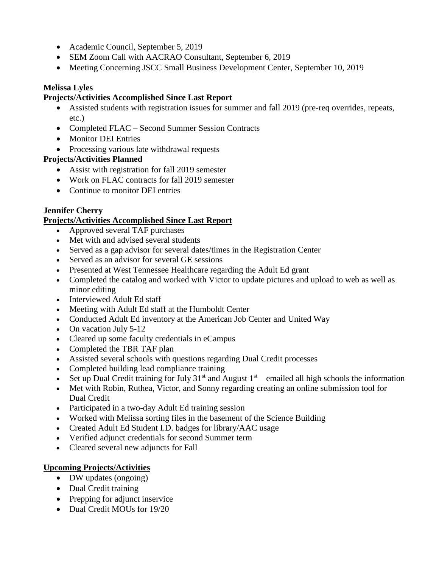- Academic Council, September 5, 2019
- SEM Zoom Call with AACRAO Consultant, September 6, 2019
- Meeting Concerning JSCC Small Business Development Center, September 10, 2019

#### **Melissa Lyles**

### **Projects/Activities Accomplished Since Last Report**

- Assisted students with registration issues for summer and fall 2019 (pre-req overrides, repeats, etc.)
- Completed FLAC Second Summer Session Contracts
- Monitor DEI Entries
- Processing various late withdrawal requests

## **Projects/Activities Planned**

- Assist with registration for fall 2019 semester
- Work on FLAC contracts for fall 2019 semester
- Continue to monitor DEI entries

# **Jennifer Cherry**

# **Projects/Activities Accomplished Since Last Report**

- Approved several TAF purchases
- Met with and advised several students
- Served as a gap advisor for several dates/times in the Registration Center
- Served as an advisor for several GE sessions
- Presented at West Tennessee Healthcare regarding the Adult Ed grant
- Completed the catalog and worked with Victor to update pictures and upload to web as well as minor editing
- Interviewed Adult Ed staff
- Meeting with Adult Ed staff at the Humboldt Center
- Conducted Adult Ed inventory at the American Job Center and United Way
- On vacation July 5-12
- Cleared up some faculty credentials in eCampus
- Completed the TBR TAF plan
- Assisted several schools with questions regarding Dual Credit processes
- Completed building lead compliance training
- Set up Dual Credit training for July  $31^{st}$  and August  $1^{st}$ —emailed all high schools the information
- Met with Robin, Ruthea, Victor, and Sonny regarding creating an online submission tool for Dual Credit
- Participated in a two-day Adult Ed training session
- Worked with Melissa sorting files in the basement of the Science Building
- Created Adult Ed Student I.D. badges for library/AAC usage
- Verified adjunct credentials for second Summer term
- Cleared several new adjuncts for Fall

# **Upcoming Projects/Activities**

- DW updates (ongoing)
- Dual Credit training
- Prepping for adjunct inservice
- Dual Credit MOUs for 19/20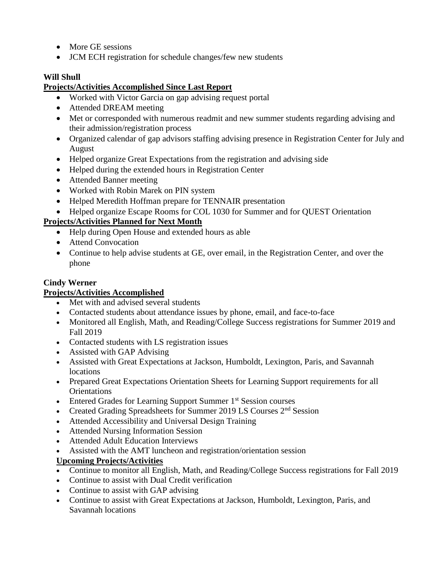- More GE sessions
- JCM ECH registration for schedule changes/few new students

# **Will Shull**

## **Projects/Activities Accomplished Since Last Report**

- Worked with Victor Garcia on gap advising request portal
- Attended DREAM meeting
- Met or corresponded with numerous readmit and new summer students regarding advising and their admission/registration process
- Organized calendar of gap advisors staffing advising presence in Registration Center for July and August
- Helped organize Great Expectations from the registration and advising side
- Helped during the extended hours in Registration Center
- Attended Banner meeting
- Worked with Robin Marek on PIN system
- Helped Meredith Hoffman prepare for TENNAIR presentation
- Helped organize Escape Rooms for COL 1030 for Summer and for QUEST Orientation

# **Projects/Activities Planned for Next Month**

- Help during Open House and extended hours as able
- Attend Convocation
- Continue to help advise students at GE, over email, in the Registration Center, and over the phone

## **Cindy Werner**

## **Projects/Activities Accomplished**

- Met with and advised several students
- Contacted students about attendance issues by phone, email, and face-to-face
- Monitored all English, Math, and Reading/College Success registrations for Summer 2019 and Fall 2019
- Contacted students with LS registration issues
- Assisted with GAP Advising
- Assisted with Great Expectations at Jackson, Humboldt, Lexington, Paris, and Savannah **locations**
- Prepared Great Expectations Orientation Sheets for Learning Support requirements for all **Orientations**
- Entered Grades for Learning Support Summer 1<sup>st</sup> Session courses
- Created Grading Spreadsheets for Summer 2019 LS Courses 2<sup>nd</sup> Session
- Attended Accessibility and Universal Design Training
- Attended Nursing Information Session
- Attended Adult Education Interviews
- Assisted with the AMT luncheon and registration/orientation session

## **Upcoming Projects/Activities**

- Continue to monitor all English, Math, and Reading/College Success registrations for Fall 2019
- Continue to assist with Dual Credit verification
- Continue to assist with GAP advising
- Continue to assist with Great Expectations at Jackson, Humboldt, Lexington, Paris, and Savannah locations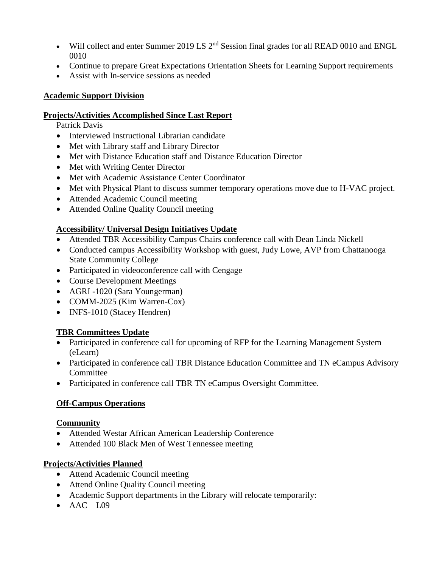- Will collect and enter Summer 2019 LS 2<sup>nd</sup> Session final grades for all READ 0010 and ENGL 0010
- Continue to prepare Great Expectations Orientation Sheets for Learning Support requirements
- Assist with In-service sessions as needed

#### **Academic Support Division**

#### **Projects/Activities Accomplished Since Last Report**

Patrick Davis

- Interviewed Instructional Librarian candidate
- Met with Library staff and Library Director
- Met with Distance Education staff and Distance Education Director
- Met with Writing Center Director
- Met with Academic Assistance Center Coordinator
- Met with Physical Plant to discuss summer temporary operations move due to H-VAC project.
- Attended Academic Council meeting
- Attended Online Quality Council meeting

### **Accessibility/ Universal Design Initiatives Update**

- Attended TBR Accessibility Campus Chairs conference call with Dean Linda Nickell
- Conducted campus Accessibility Workshop with guest, Judy Lowe, AVP from Chattanooga State Community College
- Participated in videoconference call with Cengage
- Course Development Meetings
- AGRI -1020 (Sara Youngerman)
- COMM-2025 (Kim Warren-Cox)
- INFS-1010 (Stacey Hendren)

#### **TBR Committees Update**

- Participated in conference call for upcoming of RFP for the Learning Management System (eLearn)
- Participated in conference call TBR Distance Education Committee and TN eCampus Advisory Committee
- Participated in conference call TBR TN eCampus Oversight Committee.

#### **Off-Campus Operations**

#### **Community**

- Attended Westar African American Leadership Conference
- Attended 100 Black Men of West Tennessee meeting

- Attend Academic Council meeting
- Attend Online Quality Council meeting
- Academic Support departments in the Library will relocate temporarily:
- $\bullet$  AAC L09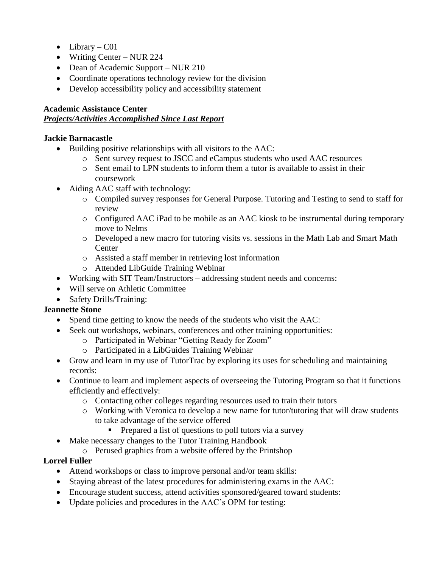- $\bullet$  Library C01
- Writing Center NUR 224
- Dean of Academic Support NUR 210
- Coordinate operations technology review for the division
- Develop accessibility policy and accessibility statement

#### **Academic Assistance Center**

### *Projects/Activities Accomplished Since Last Report*

### **Jackie Barnacastle**

- Building positive relationships with all visitors to the AAC:
	- o Sent survey request to JSCC and eCampus students who used AAC resources
	- $\circ$  Sent email to LPN students to inform them a tutor is available to assist in their coursework
- Aiding AAC staff with technology:
	- o Compiled survey responses for General Purpose. Tutoring and Testing to send to staff for review
	- o Configured AAC iPad to be mobile as an AAC kiosk to be instrumental during temporary move to Nelms
	- o Developed a new macro for tutoring visits vs. sessions in the Math Lab and Smart Math Center
	- o Assisted a staff member in retrieving lost information
	- o Attended LibGuide Training Webinar
- Working with SIT Team/Instructors addressing student needs and concerns:
- Will serve on Athletic Committee
- Safety Drills/Training:

## **Jeannette Stone**

- Spend time getting to know the needs of the students who visit the AAC:
- Seek out workshops, webinars, conferences and other training opportunities:
	- o Participated in Webinar "Getting Ready for Zoom"
	- o Participated in a LibGuides Training Webinar
- Grow and learn in my use of TutorTrac by exploring its uses for scheduling and maintaining records:
- Continue to learn and implement aspects of overseeing the Tutoring Program so that it functions efficiently and effectively:
	- o Contacting other colleges regarding resources used to train their tutors
	- o Working with Veronica to develop a new name for tutor/tutoring that will draw students to take advantage of the service offered
		- Prepared a list of questions to poll tutors via a survey
- Make necessary changes to the Tutor Training Handbook
	- o Perused graphics from a website offered by the Printshop

#### **Lorrel Fuller**

- Attend workshops or class to improve personal and/or team skills:
- Staying abreast of the latest procedures for administering exams in the AAC:
- Encourage student success, attend activities sponsored/geared toward students:
- Update policies and procedures in the AAC's OPM for testing: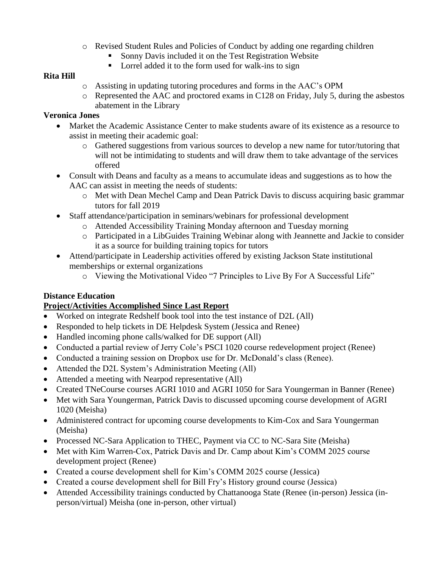- o Revised Student Rules and Policies of Conduct by adding one regarding children
	- Sonny Davis included it on the Test Registration Website
	- Lorrel added it to the form used for walk-ins to sign

### **Rita Hill**

- o Assisting in updating tutoring procedures and forms in the AAC's OPM
- o Represented the AAC and proctored exams in C128 on Friday, July 5, during the asbestos abatement in the Library

### **Veronica Jones**

- Market the Academic Assistance Center to make students aware of its existence as a resource to assist in meeting their academic goal:
	- o Gathered suggestions from various sources to develop a new name for tutor/tutoring that will not be intimidating to students and will draw them to take advantage of the services offered
- Consult with Deans and faculty as a means to accumulate ideas and suggestions as to how the AAC can assist in meeting the needs of students:
	- o Met with Dean Mechel Camp and Dean Patrick Davis to discuss acquiring basic grammar tutors for fall 2019
- Staff attendance/participation in seminars/webinars for professional development
	- o Attended Accessibility Training Monday afternoon and Tuesday morning
	- o Participated in a LibGuides Training Webinar along with Jeannette and Jackie to consider it as a source for building training topics for tutors
- Attend/participate in Leadership activities offered by existing Jackson State institutional memberships or external organizations
	- o Viewing the Motivational Video "7 Principles to Live By For A Successful Life"

## **Distance Education**

- Worked on integrate Redshelf book tool into the test instance of D2L (All)
- Responded to help tickets in DE Helpdesk System (Jessica and Renee)
- Handled incoming phone calls/walked for DE support (All)
- Conducted a partial review of Jerry Cole's PSCI 1020 course redevelopment project (Renee)
- Conducted a training session on Dropbox use for Dr. McDonald's class (Renee).
- Attended the D2L System's Administration Meeting (All)
- Attended a meeting with Nearpod representative (All)
- Created TNeCourse courses AGRI 1010 and AGRI 1050 for Sara Youngerman in Banner (Renee)
- Met with Sara Youngerman, Patrick Davis to discussed upcoming course development of AGRI 1020 (Meisha)
- Administered contract for upcoming course developments to Kim-Cox and Sara Youngerman (Meisha)
- Processed NC-Sara Application to THEC, Payment via CC to NC-Sara Site (Meisha)
- Met with Kim Warren-Cox, Patrick Davis and Dr. Camp about Kim's COMM 2025 course development project (Renee)
- Created a course development shell for Kim's COMM 2025 course (Jessica)
- Created a course development shell for Bill Fry's History ground course (Jessica)
- Attended Accessibility trainings conducted by Chattanooga State (Renee (in-person) Jessica (inperson/virtual) Meisha (one in-person, other virtual)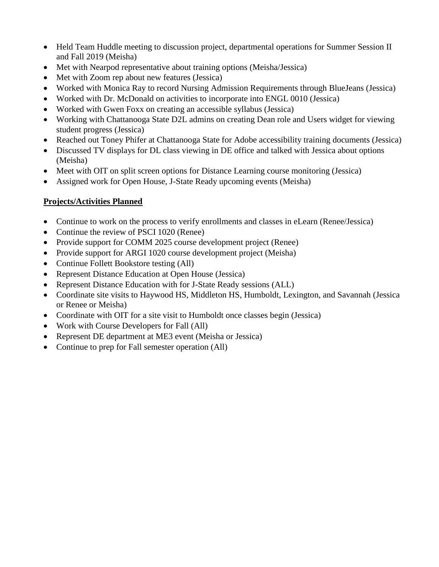- Held Team Huddle meeting to discussion project, departmental operations for Summer Session II and Fall 2019 (Meisha)
- Met with Nearpod representative about training options (Meisha/Jessica)
- Met with Zoom rep about new features (Jessica)
- Worked with Monica Ray to record Nursing Admission Requirements through BlueJeans (Jessica)
- Worked with Dr. McDonald on activities to incorporate into ENGL 0010 (Jessica)
- Worked with Gwen Foxx on creating an accessible syllabus (Jessica)
- Working with Chattanooga State D2L admins on creating Dean role and Users widget for viewing student progress (Jessica)
- Reached out Toney Phifer at Chattanooga State for Adobe accessibility training documents (Jessica)
- Discussed TV displays for DL class viewing in DE office and talked with Jessica about options (Meisha)
- Meet with OIT on split screen options for Distance Learning course monitoring (Jessica)
- Assigned work for Open House, J-State Ready upcoming events (Meisha)

- Continue to work on the process to verify enrollments and classes in eLearn (Renee/Jessica)
- Continue the review of PSCI 1020 (Renee)
- Provide support for COMM 2025 course development project (Renee)
- Provide support for ARGI 1020 course development project (Meisha)
- Continue Follett Bookstore testing (All)
- Represent Distance Education at Open House (Jessica)
- Represent Distance Education with for J-State Ready sessions (ALL)
- Coordinate site visits to Haywood HS, Middleton HS, Humboldt, Lexington, and Savannah (Jessica or Renee or Meisha)
- Coordinate with OIT for a site visit to Humboldt once classes begin (Jessica)
- Work with Course Developers for Fall (All)
- Represent DE department at ME3 event (Meisha or Jessica)
- Continue to prep for Fall semester operation (All)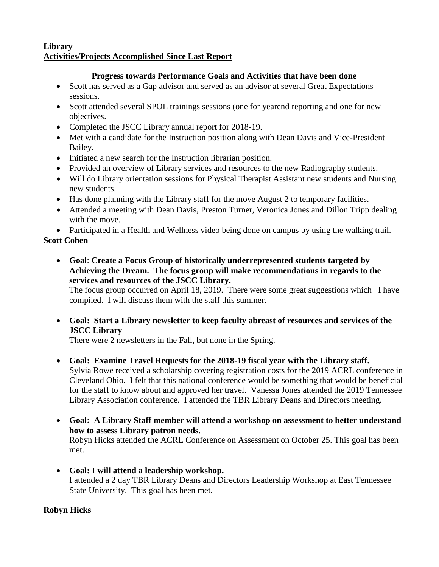### **Library Activities/Projects Accomplished Since Last Report**

### **Progress towards Performance Goals and Activities that have been done**

- Scott has served as a Gap advisor and served as an advisor at several Great Expectations sessions.
- Scott attended several SPOL trainings sessions (one for yearend reporting and one for new objectives.
- Completed the JSCC Library annual report for 2018-19.
- Met with a candidate for the Instruction position along with Dean Davis and Vice-President Bailey.
- Initiated a new search for the Instruction librarian position.
- Provided an overview of Library services and resources to the new Radiography students.
- Will do Library orientation sessions for Physical Therapist Assistant new students and Nursing new students.
- Has done planning with the Library staff for the move August 2 to temporary facilities.
- Attended a meeting with Dean Davis, Preston Turner, Veronica Jones and Dillon Tripp dealing with the move.

Participated in a Health and Wellness video being done on campus by using the walking trail.

## **Scott Cohen**

 **Goal**: **Create a Focus Group of historically underrepresented students targeted by Achieving the Dream. The focus group will make recommendations in regards to the services and resources of the JSCC Library.**

The focus group occurred on April 18, 2019. There were some great suggestions which I have compiled. I will discuss them with the staff this summer.

 **Goal: Start a Library newsletter to keep faculty abreast of resources and services of the JSCC Library**

There were 2 newsletters in the Fall, but none in the Spring.

- **Goal: Examine Travel Requests for the 2018-19 fiscal year with the Library staff.** Sylvia Rowe received a scholarship covering registration costs for the 2019 ACRL conference in Cleveland Ohio. I felt that this national conference would be something that would be beneficial for the staff to know about and approved her travel. Vanessa Jones attended the 2019 Tennessee Library Association conference. I attended the TBR Library Deans and Directors meeting.
- **Goal: A Library Staff member will attend a workshop on assessment to better understand how to assess Library patron needs.** Robyn Hicks attended the ACRL Conference on Assessment on October 25. This goal has been met.
- **Goal: I will attend a leadership workshop.** I attended a 2 day TBR Library Deans and Directors Leadership Workshop at East Tennessee State University. This goal has been met.

## **Robyn Hicks**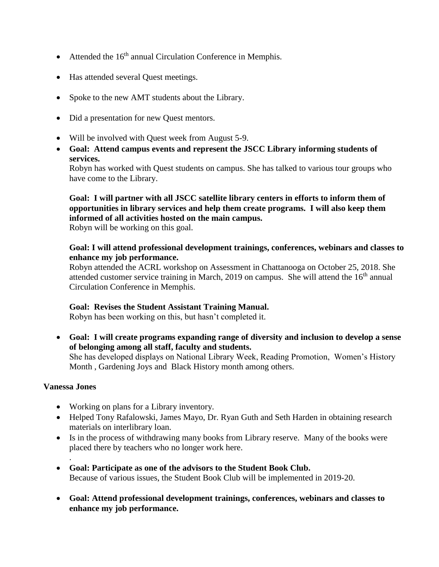- $\bullet$  Attended the 16<sup>th</sup> annual Circulation Conference in Memphis.
- Has attended several Quest meetings.
- Spoke to the new AMT students about the Library.
- Did a presentation for new Quest mentors.
- Will be involved with Quest week from August 5-9.
- **Goal: Attend campus events and represent the JSCC Library informing students of services.**

Robyn has worked with Quest students on campus. She has talked to various tour groups who have come to the Library.

## **Goal: I will partner with all JSCC satellite library centers in efforts to inform them of opportunities in library services and help them create programs. I will also keep them informed of all activities hosted on the main campus.**

Robyn will be working on this goal.

#### **Goal: I will attend professional development trainings, conferences, webinars and classes to enhance my job performance.**

Robyn attended the ACRL workshop on Assessment in Chattanooga on October 25, 2018. She attended customer service training in March, 2019 on campus. She will attend the  $16<sup>th</sup>$  annual Circulation Conference in Memphis.

#### **Goal: Revises the Student Assistant Training Manual.**

Robyn has been working on this, but hasn't completed it.

 **Goal: I will create programs expanding range of diversity and inclusion to develop a sense of belonging among all staff, faculty and students.**

She has developed displays on National Library Week, Reading Promotion, Women's History Month , Gardening Joys and Black History month among others.

#### **Vanessa Jones**

.

- Working on plans for a Library inventory.
- Helped Tony Rafalowski, James Mayo, Dr. Ryan Guth and Seth Harden in obtaining research materials on interlibrary loan.
- Is in the process of withdrawing many books from Library reserve. Many of the books were placed there by teachers who no longer work here.
- **Goal: Participate as one of the advisors to the Student Book Club.** Because of various issues, the Student Book Club will be implemented in 2019-20.
- **Goal: Attend professional development trainings, conferences, webinars and classes to enhance my job performance.**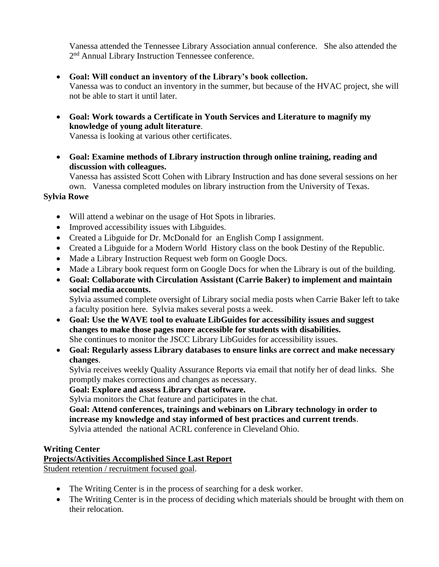Vanessa attended the Tennessee Library Association annual conference. She also attended the 2<sup>nd</sup> Annual Library Instruction Tennessee conference.

- **Goal: Will conduct an inventory of the Library's book collection.** Vanessa was to conduct an inventory in the summer, but because of the HVAC project, she will not be able to start it until later.
- **Goal: Work towards a Certificate in Youth Services and Literature to magnify my knowledge of young adult literature**.

Vanessa is looking at various other certificates.

 **Goal: Examine methods of Library instruction through online training, reading and discussion with colleagues.**

Vanessa has assisted Scott Cohen with Library Instruction and has done several sessions on her own. Vanessa completed modules on library instruction from the University of Texas.

### **Sylvia Rowe**

- Will attend a webinar on the usage of Hot Spots in libraries.
- Improved accessibility issues with Libguides.
- Created a Libguide for Dr. McDonald for an English Comp I assignment.
- Created a Libguide for a Modern World History class on the book Destiny of the Republic.
- Made a Library Instruction Request web form on Google Docs.
- Made a Library book request form on Google Docs for when the Library is out of the building.
- **Goal: Collaborate with Circulation Assistant (Carrie Baker) to implement and maintain social media accounts.**

Sylvia assumed complete oversight of Library social media posts when Carrie Baker left to take a faculty position here. Sylvia makes several posts a week.

 **Goal: Use the WAVE tool to evaluate LibGuides for accessibility issues and suggest changes to make those pages more accessible for students with disabilities.** She continues to monitor the JSCC Library LibGuides for accessibility issues.

## **Goal: Regularly assess Library databases to ensure links are correct and make necessary changes**.

Sylvia receives weekly Quality Assurance Reports via email that notify her of dead links. She promptly makes corrections and changes as necessary.

**Goal: Explore and assess Library chat software.**

Sylvia monitors the Chat feature and participates in the chat.

**Goal: Attend conferences, trainings and webinars on Library technology in order to increase my knowledge and stay informed of best practices and current trends**. Sylvia attended the national ACRL conference in Cleveland Ohio.

## **Writing Center**

# **Projects/Activities Accomplished Since Last Report**

Student retention / recruitment focused goal.

- The Writing Center is in the process of searching for a desk worker.
- The Writing Center is in the process of deciding which materials should be brought with them on their relocation.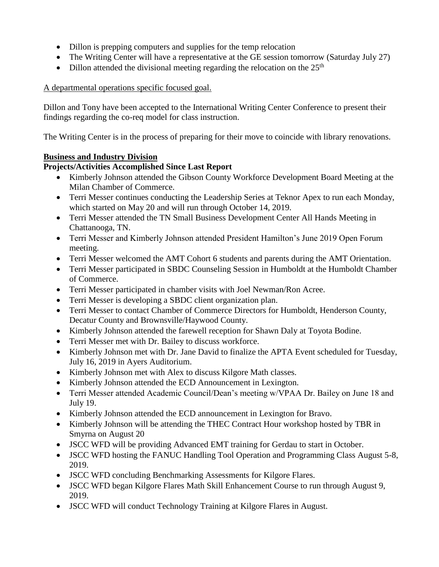- Dillon is prepping computers and supplies for the temp relocation
- The Writing Center will have a representative at the GE session tomorrow (Saturday July 27)
- Dillon attended the divisional meeting regarding the relocation on the  $25<sup>th</sup>$

### A departmental operations specific focused goal.

Dillon and Tony have been accepted to the International Writing Center Conference to present their findings regarding the co-req model for class instruction.

The Writing Center is in the process of preparing for their move to coincide with library renovations.

### **Business and Industry Division**

- Kimberly Johnson attended the Gibson County Workforce Development Board Meeting at the Milan Chamber of Commerce.
- Terri Messer continues conducting the Leadership Series at Teknor Apex to run each Monday, which started on May 20 and will run through October 14, 2019.
- Terri Messer attended the TN Small Business Development Center All Hands Meeting in Chattanooga, TN.
- Terri Messer and Kimberly Johnson attended President Hamilton's June 2019 Open Forum meeting.
- Terri Messer welcomed the AMT Cohort 6 students and parents during the AMT Orientation.
- Terri Messer participated in SBDC Counseling Session in Humboldt at the Humboldt Chamber of Commerce.
- Terri Messer participated in chamber visits with Joel Newman/Ron Acree.
- Terri Messer is developing a SBDC client organization plan.
- Terri Messer to contact Chamber of Commerce Directors for Humboldt, Henderson County, Decatur County and Brownsville/Haywood County.
- Kimberly Johnson attended the farewell reception for Shawn Daly at Toyota Bodine.
- Terri Messer met with Dr. Bailey to discuss workforce.
- Kimberly Johnson met with Dr. Jane David to finalize the APTA Event scheduled for Tuesday, July 16, 2019 in Ayers Auditorium.
- Kimberly Johnson met with Alex to discuss Kilgore Math classes.
- Kimberly Johnson attended the ECD Announcement in Lexington.
- Terri Messer attended Academic Council/Dean's meeting w/VPAA Dr. Bailey on June 18 and July 19.
- Kimberly Johnson attended the ECD announcement in Lexington for Bravo.
- Kimberly Johnson will be attending the THEC Contract Hour workshop hosted by TBR in Smyrna on August 20
- JSCC WFD will be providing Advanced EMT training for Gerdau to start in October.
- JSCC WFD hosting the FANUC Handling Tool Operation and Programming Class August 5-8, 2019.
- JSCC WFD concluding Benchmarking Assessments for Kilgore Flares.
- JSCC WFD began Kilgore Flares Math Skill Enhancement Course to run through August 9, 2019.
- JSCC WFD will conduct Technology Training at Kilgore Flares in August.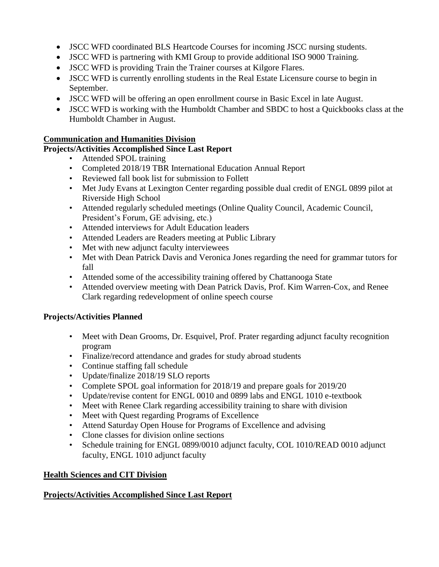- JSCC WFD coordinated BLS Heartcode Courses for incoming JSCC nursing students.
- JSCC WFD is partnering with KMI Group to provide additional ISO 9000 Training.
- JSCC WFD is providing Train the Trainer courses at Kilgore Flares.
- JSCC WFD is currently enrolling students in the Real Estate Licensure course to begin in September.
- JSCC WFD will be offering an open enrollment course in Basic Excel in late August.
- JSCC WFD is working with the Humboldt Chamber and SBDC to host a Quickbooks class at the Humboldt Chamber in August.

#### **Communication and Humanities Division**

#### **Projects/Activities Accomplished Since Last Report**

- Attended SPOL training
- Completed 2018/19 TBR International Education Annual Report
- Reviewed fall book list for submission to Follett
- Met Judy Evans at Lexington Center regarding possible dual credit of ENGL 0899 pilot at Riverside High School
- Attended regularly scheduled meetings (Online Quality Council, Academic Council, President's Forum, GE advising, etc.)
- Attended interviews for Adult Education leaders
- Attended Leaders are Readers meeting at Public Library
- Met with new adjunct faculty interviewees
- Met with Dean Patrick Davis and Veronica Jones regarding the need for grammar tutors for fall
- Attended some of the accessibility training offered by Chattanooga State
- Attended overview meeting with Dean Patrick Davis, Prof. Kim Warren-Cox, and Renee Clark regarding redevelopment of online speech course

#### **Projects/Activities Planned**

- Meet with Dean Grooms, Dr. Esquivel, Prof. Prater regarding adjunct faculty recognition program
- Finalize/record attendance and grades for study abroad students
- Continue staffing fall schedule
- Update/finalize 2018/19 SLO reports
- Complete SPOL goal information for 2018/19 and prepare goals for 2019/20
- Update/revise content for ENGL 0010 and 0899 labs and ENGL 1010 e-textbook
- Meet with Renee Clark regarding accessibility training to share with division
- Meet with Quest regarding Programs of Excellence
- Attend Saturday Open House for Programs of Excellence and advising
- Clone classes for division online sections
- Schedule training for ENGL 0899/0010 adjunct faculty, COL 1010/READ 0010 adjunct faculty, ENGL 1010 adjunct faculty

#### **Health Sciences and CIT Division**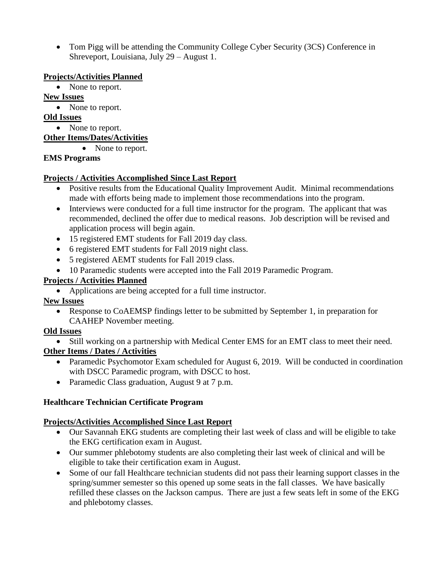• Tom Pigg will be attending the Community College Cyber Security (3CS) Conference in Shreveport, Louisiana, July 29 – August 1.

#### **Projects/Activities Planned**

• None to report.

### **New Issues**

• None to report.

### **Old Issues**

• None to report.

### **Other Items/Dates/Activities**

• None to report.

## **EMS Programs**

### **Projects / Activities Accomplished Since Last Report**

- Positive results from the Educational Quality Improvement Audit. Minimal recommendations made with efforts being made to implement those recommendations into the program.
- Interviews were conducted for a full time instructor for the program. The applicant that was recommended, declined the offer due to medical reasons. Job description will be revised and application process will begin again.
- 15 registered EMT students for Fall 2019 day class.
- 6 registered EMT students for Fall 2019 night class.
- 5 registered AEMT students for Fall 2019 class.
- 10 Paramedic students were accepted into the Fall 2019 Paramedic Program.

## **Projects / Activities Planned**

Applications are being accepted for a full time instructor.

## **New Issues**

• Response to CoAEMSP findings letter to be submitted by September 1, in preparation for CAAHEP November meeting.

## **Old Issues**

• Still working on a partnership with Medical Center EMS for an EMT class to meet their need.

## **Other Items / Dates / Activities**

- Paramedic Psychomotor Exam scheduled for August 6, 2019. Will be conducted in coordination with DSCC Paramedic program, with DSCC to host.
- Paramedic Class graduation, August 9 at 7 p.m.

## **Healthcare Technician Certificate Program**

- Our Savannah EKG students are completing their last week of class and will be eligible to take the EKG certification exam in August.
- Our summer phlebotomy students are also completing their last week of clinical and will be eligible to take their certification exam in August.
- Some of our fall Healthcare technician students did not pass their learning support classes in the spring/summer semester so this opened up some seats in the fall classes. We have basically refilled these classes on the Jackson campus. There are just a few seats left in some of the EKG and phlebotomy classes.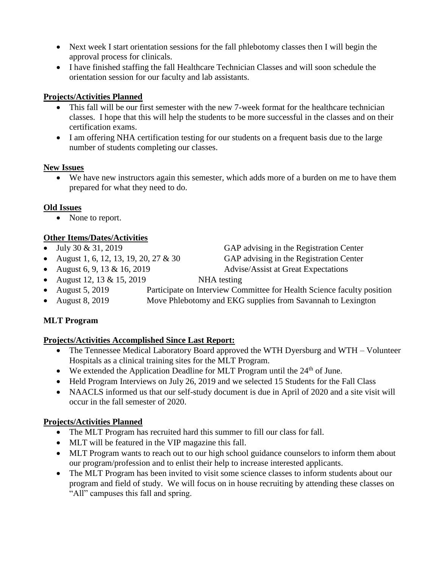- Next week I start orientation sessions for the fall phlebotomy classes then I will begin the approval process for clinicals.
- I have finished staffing the fall Healthcare Technician Classes and will soon schedule the orientation session for our faculty and lab assistants.

## **Projects/Activities Planned**

- This fall will be our first semester with the new 7-week format for the healthcare technician classes. I hope that this will help the students to be more successful in the classes and on their certification exams.
- I am offering NHA certification testing for our students on a frequent basis due to the large number of students completing our classes.

### **New Issues**

 We have new instructors again this semester, which adds more of a burden on me to have them prepared for what they need to do.

## **Old Issues**

• None to report.

# **Other Items/Dates/Activities**

- $\bullet$  July 30 & 31, 2019 GAP advising in the Registration Center
- August 1, 6, 12, 13, 19, 20, 27  $\&$  30 GAP advising in the Registration Center
- 

• August 6, 9, 13 & 16, 2019 Advise/Assist at Great Expectations

- August 12, 13  $\&$  15, 2019 NHA testing
- August 5, 2019 Participate on Interview Committee for Health Science faculty position
- August 8, 2019 Move Phlebotomy and EKG supplies from Savannah to Lexington

## **MLT Program**

## **Projects/Activities Accomplished Since Last Report:**

- The Tennessee Medical Laboratory Board approved the WTH Dyersburg and WTH Volunteer Hospitals as a clinical training sites for the MLT Program.
- We extended the Application Deadline for MLT Program until the  $24<sup>th</sup>$  of June.
- Held Program Interviews on July 26, 2019 and we selected 15 Students for the Fall Class
- NAACLS informed us that our self-study document is due in April of 2020 and a site visit will occur in the fall semester of 2020.

- The MLT Program has recruited hard this summer to fill our class for fall.
- MLT will be featured in the VIP magazine this fall.
- MLT Program wants to reach out to our high school guidance counselors to inform them about our program/profession and to enlist their help to increase interested applicants.
- The MLT Program has been invited to visit some science classes to inform students about our program and field of study. We will focus on in house recruiting by attending these classes on "All" campuses this fall and spring.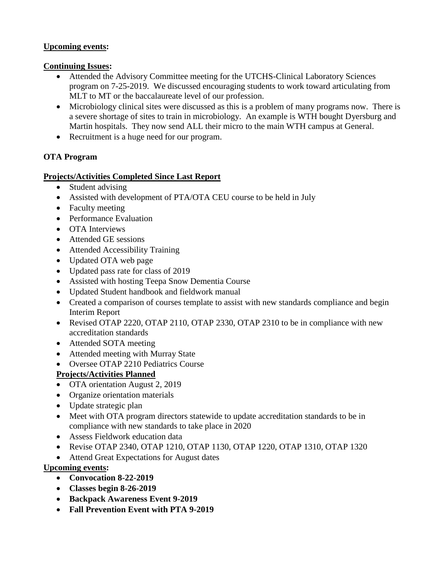#### **Upcoming events:**

#### **Continuing Issues:**

- Attended the Advisory Committee meeting for the UTCHS-Clinical Laboratory Sciences program on 7-25-2019. We discussed encouraging students to work toward articulating from MLT to MT or the baccalaureate level of our profession.
- Microbiology clinical sites were discussed as this is a problem of many programs now. There is a severe shortage of sites to train in microbiology. An example is WTH bought Dyersburg and Martin hospitals. They now send ALL their micro to the main WTH campus at General.
- Recruitment is a huge need for our program.

### **OTA Program**

#### **Projects/Activities Completed Since Last Report**

- Student advising
- Assisted with development of PTA/OTA CEU course to be held in July
- Faculty meeting
- Performance Evaluation
- OTA Interviews
- Attended GE sessions
- Attended Accessibility Training
- Updated OTA web page
- Updated pass rate for class of 2019
- Assisted with hosting Teepa Snow Dementia Course
- Updated Student handbook and fieldwork manual
- Created a comparison of courses template to assist with new standards compliance and begin Interim Report
- Revised OTAP 2220, OTAP 2110, OTAP 2330, OTAP 2310 to be in compliance with new accreditation standards
- Attended SOTA meeting
- Attended meeting with Murray State
- Oversee OTAP 2210 Pediatrics Course

## **Projects/Activities Planned**

- OTA orientation August 2, 2019
- Organize orientation materials
- Update strategic plan
- Meet with OTA program directors statewide to update accreditation standards to be in compliance with new standards to take place in 2020
- Assess Fieldwork education data
- Revise OTAP 2340, OTAP 1210, OTAP 1130, OTAP 1220, OTAP 1310, OTAP 1320
- Attend Great Expectations for August dates

#### **Upcoming events:**

- **Convocation 8-22-2019**
- **Classes begin 8-26-2019**
- **Backpack Awareness Event 9-2019**
- **Fall Prevention Event with PTA 9-2019**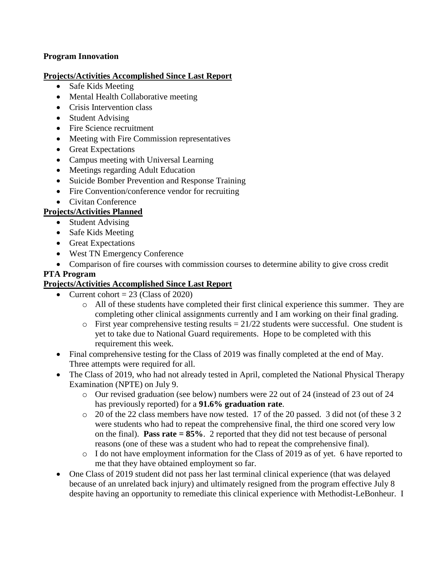#### **Program Innovation**

#### **Projects/Activities Accomplished Since Last Report**

- Safe Kids Meeting
- Mental Health Collaborative meeting
- Crisis Intervention class
- Student Advising
- Fire Science recruitment
- Meeting with Fire Commission representatives
- Great Expectations
- Campus meeting with Universal Learning
- Meetings regarding Adult Education
- Suicide Bomber Prevention and Response Training
- Fire Convention/conference vendor for recruiting
- Civitan Conference

# **Projects/Activities Planned**

- Student Advising
- Safe Kids Meeting
- Great Expectations
- West TN Emergency Conference
- Comparison of fire courses with commission courses to determine ability to give cross credit

## **PTA Program**

- Current cohort  $= 23$  (Class of 2020)
	- o All of these students have completed their first clinical experience this summer. They are completing other clinical assignments currently and I am working on their final grading.
	- $\circ$  First year comprehensive testing results = 21/22 students were successful. One student is yet to take due to National Guard requirements. Hope to be completed with this requirement this week.
- Final comprehensive testing for the Class of 2019 was finally completed at the end of May. Three attempts were required for all.
- The Class of 2019, who had not already tested in April, completed the National Physical Therapy Examination (NPTE) on July 9.
	- o Our revised graduation (see below) numbers were 22 out of 24 (instead of 23 out of 24 has previously reported) for a **91.6% graduation rate**.
	- o 20 of the 22 class members have now tested. 17 of the 20 passed. 3 did not (of these 3 2 were students who had to repeat the comprehensive final, the third one scored very low on the final). **Pass rate = 85%**. 2 reported that they did not test because of personal reasons (one of these was a student who had to repeat the comprehensive final).
	- o I do not have employment information for the Class of 2019 as of yet. 6 have reported to me that they have obtained employment so far.
- One Class of 2019 student did not pass her last terminal clinical experience (that was delayed because of an unrelated back injury) and ultimately resigned from the program effective July 8 despite having an opportunity to remediate this clinical experience with Methodist-LeBonheur. I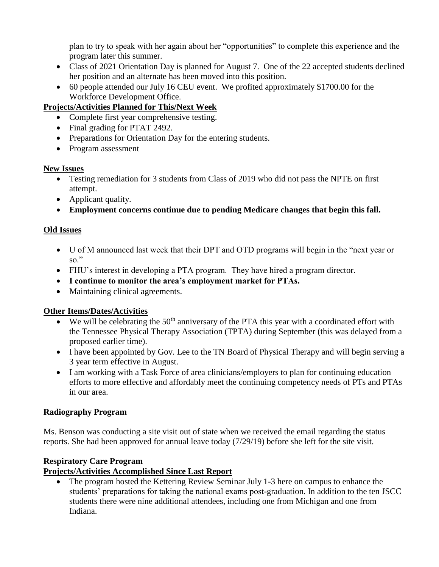plan to try to speak with her again about her "opportunities" to complete this experience and the program later this summer.

- Class of 2021 Orientation Day is planned for August 7. One of the 22 accepted students declined her position and an alternate has been moved into this position.
- 60 people attended our July 16 CEU event. We profited approximately \$1700.00 for the Workforce Development Office.

# **Projects/Activities Planned for This/Next Week**

- Complete first year comprehensive testing.
- Final grading for PTAT 2492.
- Preparations for Orientation Day for the entering students.
- Program assessment

## **New Issues**

- Testing remediation for 3 students from Class of 2019 who did not pass the NPTE on first attempt.
- Applicant quality.
- **Employment concerns continue due to pending Medicare changes that begin this fall.**

# **Old Issues**

- U of M announced last week that their DPT and OTD programs will begin in the "next year or so."
- FHU's interest in developing a PTA program. They have hired a program director.
- **I continue to monitor the area's employment market for PTAs.**
- Maintaining clinical agreements.

## **Other Items/Dates/Activities**

- $\bullet$  We will be celebrating the 50<sup>th</sup> anniversary of the PTA this year with a coordinated effort with the Tennessee Physical Therapy Association (TPTA) during September (this was delayed from a proposed earlier time).
- I have been appointed by Gov. Lee to the TN Board of Physical Therapy and will begin serving a 3 year term effective in August.
- I am working with a Task Force of area clinicians/employers to plan for continuing education efforts to more effective and affordably meet the continuing competency needs of PTs and PTAs in our area.

## **Radiography Program**

Ms. Benson was conducting a site visit out of state when we received the email regarding the status reports. She had been approved for annual leave today (7/29/19) before she left for the site visit.

# **Respiratory Care Program**

## **Projects/Activities Accomplished Since Last Report**

• The program hosted the Kettering Review Seminar July 1-3 here on campus to enhance the students' preparations for taking the national exams post-graduation. In addition to the ten JSCC students there were nine additional attendees, including one from Michigan and one from Indiana.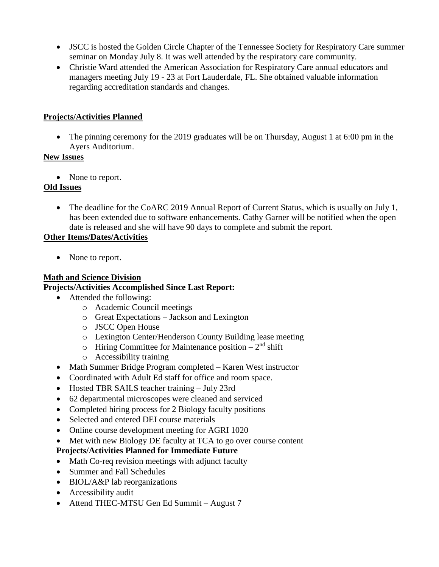- JSCC is hosted the Golden Circle Chapter of the Tennessee Society for Respiratory Care summer seminar on Monday July 8. It was well attended by the respiratory care community.
- Christie Ward attended the American Association for Respiratory Care annual educators and managers meeting July 19 - 23 at Fort Lauderdale, FL. She obtained valuable information regarding accreditation standards and changes.

#### **Projects/Activities Planned**

• The pinning ceremony for the 2019 graduates will be on Thursday, August 1 at 6:00 pm in the Ayers Auditorium.

#### **New Issues**

• None to report.

#### **Old Issues**

• The deadline for the CoARC 2019 Annual Report of Current Status, which is usually on July 1, has been extended due to software enhancements. Cathy Garner will be notified when the open date is released and she will have 90 days to complete and submit the report.

### **Other Items/Dates/Activities**

• None to report.

#### **Math and Science Division Projects/Activities Accomplished Since Last Report:**

- Attended the following:
	- o Academic Council meetings
	- o Great Expectations Jackson and Lexington
	- o JSCC Open House
	- o Lexington Center/Henderson County Building lease meeting
	- $\circ$  Hiring Committee for Maintenance position  $2<sup>nd</sup>$  shift
	- o Accessibility training
- Math Summer Bridge Program completed Karen West instructor
- Coordinated with Adult Ed staff for office and room space.
- Hosted TBR SAILS teacher training July 23rd
- 62 departmental microscopes were cleaned and serviced
- Completed hiring process for 2 Biology faculty positions
- Selected and entered DEI course materials
- Online course development meeting for AGRI 1020
- Met with new Biology DE faculty at TCA to go over course content

## **Projects/Activities Planned for Immediate Future**

- Math Co-req revision meetings with adjunct faculty
- Summer and Fall Schedules
- BIOL/A&P lab reorganizations
- Accessibility audit
- Attend THEC-MTSU Gen Ed Summit August 7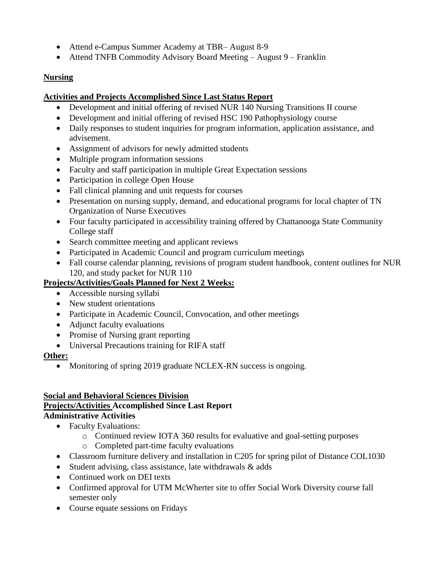- Attend e-Campus Summer Academy at TBR– August 8-9
- Attend TNFB Commodity Advisory Board Meeting August 9 Franklin

### **Nursing**

### **Activities and Projects Accomplished Since Last Status Report**

- Development and initial offering of revised NUR 140 Nursing Transitions II course
- Development and initial offering of revised HSC 190 Pathophysiology course
- Daily responses to student inquiries for program information, application assistance, and advisement.
- Assignment of advisors for newly admitted students
- Multiple program information sessions
- Faculty and staff participation in multiple Great Expectation sessions
- Participation in college Open House
- Fall clinical planning and unit requests for courses
- Presentation on nursing supply, demand, and educational programs for local chapter of TN Organization of Nurse Executives
- Four faculty participated in accessibility training offered by Chattanooga State Community College staff
- Search committee meeting and applicant reviews
- Participated in Academic Council and program curriculum meetings
- Fall course calendar planning, revisions of program student handbook, content outlines for NUR 120, and study packet for NUR 110

### **Projects/Activities/Goals Planned for Next 2 Weeks:**

- Accessible nursing syllabi
- New student orientations
- Participate in Academic Council, Convocation, and other meetings
- Adjunct faculty evaluations
- Promise of Nursing grant reporting
- Universal Precautions training for RIFA staff

#### **Other:**

• Monitoring of spring 2019 graduate NCLEX-RN success is ongoing.

#### **Social and Behavioral Sciences Division**

#### **Projects/Activities Accomplished Since Last Report Administrative Activities**

- Faculty Evaluations:
	- o Continued review IOTA 360 results for evaluative and goal-setting purposes
	- o Completed part-time faculty evaluations
- Classroom furniture delivery and installation in C205 for spring pilot of Distance COL1030
- Student advising, class assistance, late withdrawals  $\&$  adds
- Continued work on DEI texts
- Confirmed approval for UTM McWherter site to offer Social Work Diversity course fall semester only
- Course equate sessions on Fridays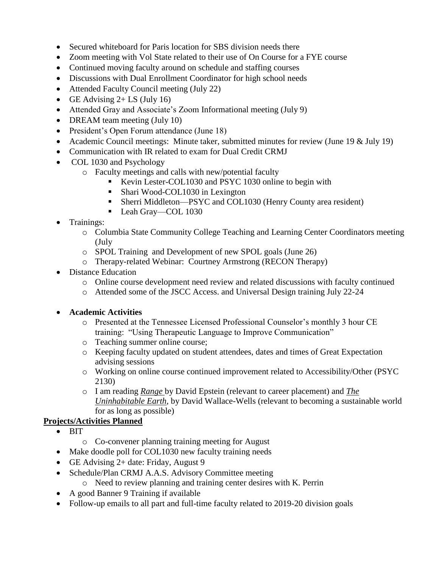- Secured whiteboard for Paris location for SBS division needs there
- Zoom meeting with Vol State related to their use of On Course for a FYE course
- Continued moving faculty around on schedule and staffing courses
- Discussions with Dual Enrollment Coordinator for high school needs
- Attended Faculty Council meeting (July 22)
- GE Advising  $2+$  LS (July 16)
- Attended Gray and Associate's Zoom Informational meeting (July 9)
- DREAM team meeting (July 10)
- President's Open Forum attendance (June 18)
- Academic Council meetings: Minute taker, submitted minutes for review (June 19 & July 19)
- Communication with IR related to exam for Dual Credit CRMJ
- COL 1030 and Psychology
	- o Faculty meetings and calls with new/potential faculty
		- Kevin Lester-COL1030 and PSYC 1030 online to begin with
		- Shari Wood-COL1030 in Lexington
		- Sherri Middleton—PSYC and COL1030 (Henry County area resident)
		- Leah Gray—COL 1030
- Trainings:
	- o Columbia State Community College Teaching and Learning Center Coordinators meeting (July
	- o SPOL Training and Development of new SPOL goals (June 26)
	- o Therapy-related Webinar: Courtney Armstrong (RECON Therapy)
- Distance Education
	- o Online course development need review and related discussions with faculty continued
	- o Attended some of the JSCC Access. and Universal Design training July 22-24

## **Academic Activities**

- o Presented at the Tennessee Licensed Professional Counselor's monthly 3 hour CE training: "Using Therapeutic Language to Improve Communication"
- o Teaching summer online course;
- o Keeping faculty updated on student attendees, dates and times of Great Expectation advising sessions
- o Working on online course continued improvement related to Accessibility/Other (PSYC 2130)
- o I am reading *Range* by David Epstein (relevant to career placement) and *The Uninhabitable Earth*, by David Wallace-Wells (relevant to becoming a sustainable world for as long as possible)

- $\bullet$  BIT
	- o Co-convener planning training meeting for August
- Make doodle poll for COL1030 new faculty training needs
- GE Advising 2+ date: Friday, August 9
- Schedule/Plan CRMJ A.A.S. Advisory Committee meeting
	- o Need to review planning and training center desires with K. Perrin
- A good Banner 9 Training if available
- Follow-up emails to all part and full-time faculty related to 2019-20 division goals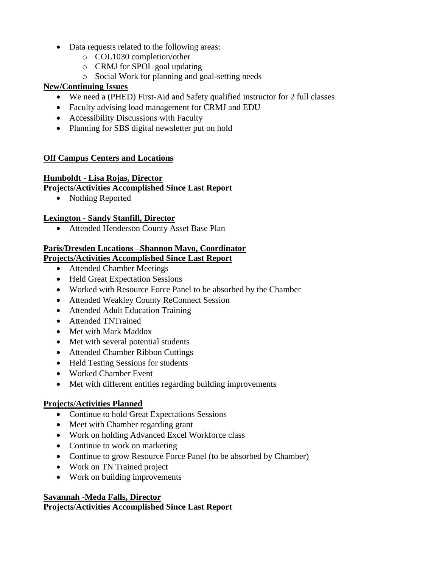- Data requests related to the following areas:
	- o COL1030 completion/other
	- o CRMJ for SPOL goal updating
	- o Social Work for planning and goal-setting needs

### **New/Continuing Issues**

- We need a (PHED) First-Aid and Safety qualified instructor for 2 full classes
- Faculty advising load management for CRMJ and EDU
- Accessibility Discussions with Faculty
- Planning for SBS digital newsletter put on hold

### **Off Campus Centers and Locations**

#### **Humboldt - Lisa Rojas, Director**

## **Projects/Activities Accomplished Since Last Report**

• Nothing Reported

### **Lexington - Sandy Stanfill, Director**

Attended Henderson County Asset Base Plan

## **Paris/Dresden Locations –Shannon Mayo, Coordinator**

### **Projects/Activities Accomplished Since Last Report**

- Attended Chamber Meetings
- Held Great Expectation Sessions
- Worked with Resource Force Panel to be absorbed by the Chamber
- Attended Weakley County ReConnect Session
- Attended Adult Education Training
- Attended TNTrained
- Met with Mark Maddox
- Met with several potential students
- Attended Chamber Ribbon Cuttings
- Held Testing Sessions for students
- Worked Chamber Event
- Met with different entities regarding building improvements

## **Projects/Activities Planned**

- Continue to hold Great Expectations Sessions
- Meet with Chamber regarding grant
- Work on holding Advanced Excel Workforce class
- Continue to work on marketing
- Continue to grow Resource Force Panel (to be absorbed by Chamber)
- Work on TN Trained project
- Work on building improvements

#### **Savannah -Meda Falls, Director**